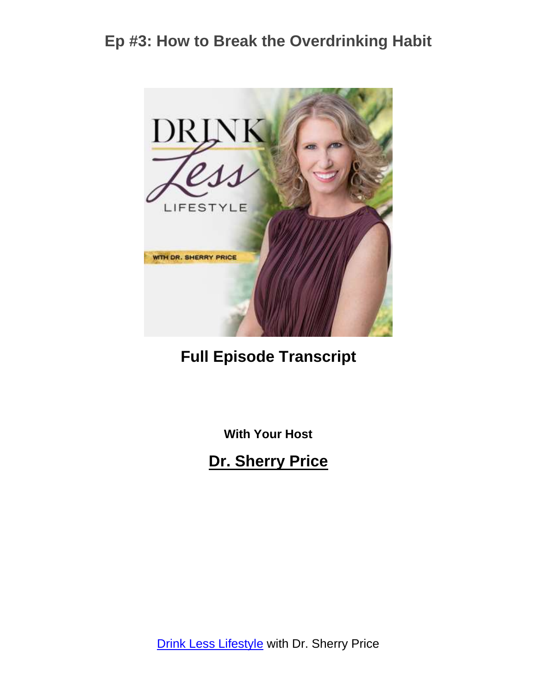

**Full Episode Transcript**

**With Your Host**

**Dr. Sherry Price**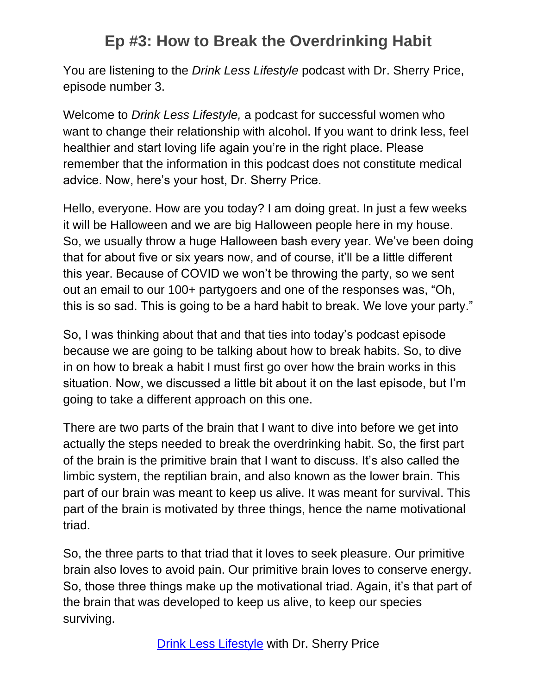You are listening to the *Drink Less Lifestyle* podcast with Dr. Sherry Price, episode number 3.

Welcome to *Drink Less Lifestyle,* a podcast for successful women who want to change their relationship with alcohol. If you want to drink less, feel healthier and start loving life again you're in the right place. Please remember that the information in this podcast does not constitute medical advice. Now, here's your host, Dr. Sherry Price.

Hello, everyone. How are you today? I am doing great. In just a few weeks it will be Halloween and we are big Halloween people here in my house. So, we usually throw a huge Halloween bash every year. We've been doing that for about five or six years now, and of course, it'll be a little different this year. Because of COVID we won't be throwing the party, so we sent out an email to our 100+ partygoers and one of the responses was, "Oh, this is so sad. This is going to be a hard habit to break. We love your party."

So, I was thinking about that and that ties into today's podcast episode because we are going to be talking about how to break habits. So, to dive in on how to break a habit I must first go over how the brain works in this situation. Now, we discussed a little bit about it on the last episode, but I'm going to take a different approach on this one.

There are two parts of the brain that I want to dive into before we get into actually the steps needed to break the overdrinking habit. So, the first part of the brain is the primitive brain that I want to discuss. It's also called the limbic system, the reptilian brain, and also known as the lower brain. This part of our brain was meant to keep us alive. It was meant for survival. This part of the brain is motivated by three things, hence the name motivational triad.

So, the three parts to that triad that it loves to seek pleasure. Our primitive brain also loves to avoid pain. Our primitive brain loves to conserve energy. So, those three things make up the motivational triad. Again, it's that part of the brain that was developed to keep us alive, to keep our species surviving.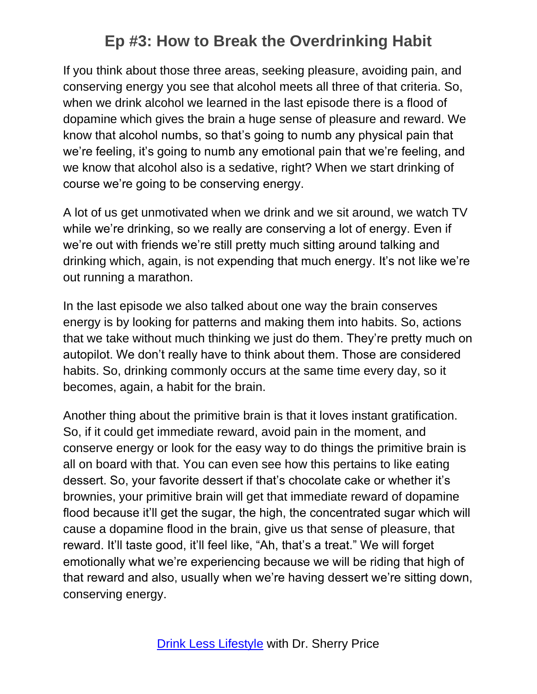If you think about those three areas, seeking pleasure, avoiding pain, and conserving energy you see that alcohol meets all three of that criteria. So, when we drink alcohol we learned in the last episode there is a flood of dopamine which gives the brain a huge sense of pleasure and reward. We know that alcohol numbs, so that's going to numb any physical pain that we're feeling, it's going to numb any emotional pain that we're feeling, and we know that alcohol also is a sedative, right? When we start drinking of course we're going to be conserving energy.

A lot of us get unmotivated when we drink and we sit around, we watch TV while we're drinking, so we really are conserving a lot of energy. Even if we're out with friends we're still pretty much sitting around talking and drinking which, again, is not expending that much energy. It's not like we're out running a marathon.

In the last episode we also talked about one way the brain conserves energy is by looking for patterns and making them into habits. So, actions that we take without much thinking we just do them. They're pretty much on autopilot. We don't really have to think about them. Those are considered habits. So, drinking commonly occurs at the same time every day, so it becomes, again, a habit for the brain.

Another thing about the primitive brain is that it loves instant gratification. So, if it could get immediate reward, avoid pain in the moment, and conserve energy or look for the easy way to do things the primitive brain is all on board with that. You can even see how this pertains to like eating dessert. So, your favorite dessert if that's chocolate cake or whether it's brownies, your primitive brain will get that immediate reward of dopamine flood because it'll get the sugar, the high, the concentrated sugar which will cause a dopamine flood in the brain, give us that sense of pleasure, that reward. It'll taste good, it'll feel like, "Ah, that's a treat." We will forget emotionally what we're experiencing because we will be riding that high of that reward and also, usually when we're having dessert we're sitting down, conserving energy.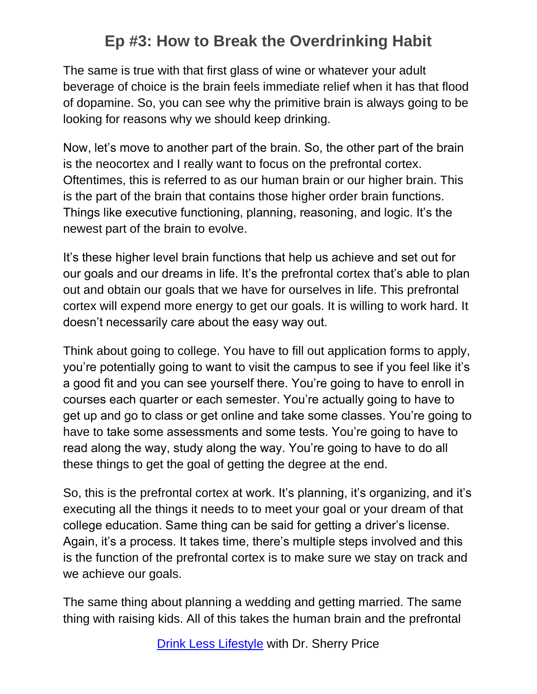The same is true with that first glass of wine or whatever your adult beverage of choice is the brain feels immediate relief when it has that flood of dopamine. So, you can see why the primitive brain is always going to be looking for reasons why we should keep drinking.

Now, let's move to another part of the brain. So, the other part of the brain is the neocortex and I really want to focus on the prefrontal cortex. Oftentimes, this is referred to as our human brain or our higher brain. This is the part of the brain that contains those higher order brain functions. Things like executive functioning, planning, reasoning, and logic. It's the newest part of the brain to evolve.

It's these higher level brain functions that help us achieve and set out for our goals and our dreams in life. It's the prefrontal cortex that's able to plan out and obtain our goals that we have for ourselves in life. This prefrontal cortex will expend more energy to get our goals. It is willing to work hard. It doesn't necessarily care about the easy way out.

Think about going to college. You have to fill out application forms to apply, you're potentially going to want to visit the campus to see if you feel like it's a good fit and you can see yourself there. You're going to have to enroll in courses each quarter or each semester. You're actually going to have to get up and go to class or get online and take some classes. You're going to have to take some assessments and some tests. You're going to have to read along the way, study along the way. You're going to have to do all these things to get the goal of getting the degree at the end.

So, this is the prefrontal cortex at work. It's planning, it's organizing, and it's executing all the things it needs to to meet your goal or your dream of that college education. Same thing can be said for getting a driver's license. Again, it's a process. It takes time, there's multiple steps involved and this is the function of the prefrontal cortex is to make sure we stay on track and we achieve our goals.

The same thing about planning a wedding and getting married. The same thing with raising kids. All of this takes the human brain and the prefrontal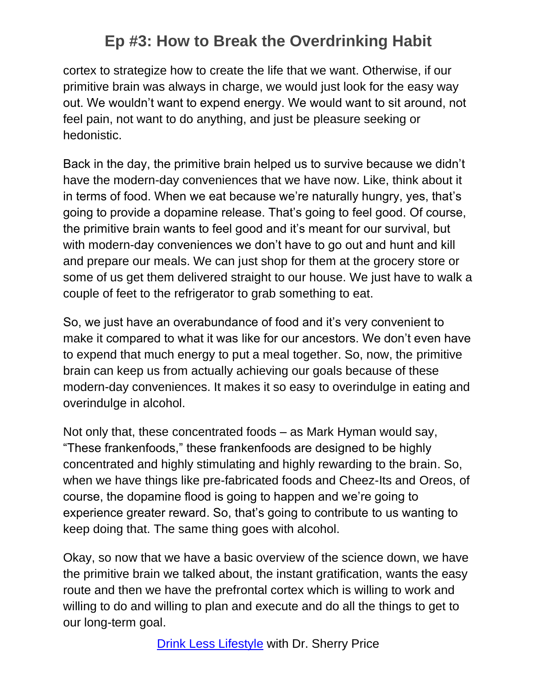cortex to strategize how to create the life that we want. Otherwise, if our primitive brain was always in charge, we would just look for the easy way out. We wouldn't want to expend energy. We would want to sit around, not feel pain, not want to do anything, and just be pleasure seeking or hedonistic.

Back in the day, the primitive brain helped us to survive because we didn't have the modern-day conveniences that we have now. Like, think about it in terms of food. When we eat because we're naturally hungry, yes, that's going to provide a dopamine release. That's going to feel good. Of course, the primitive brain wants to feel good and it's meant for our survival, but with modern-day conveniences we don't have to go out and hunt and kill and prepare our meals. We can just shop for them at the grocery store or some of us get them delivered straight to our house. We just have to walk a couple of feet to the refrigerator to grab something to eat.

So, we just have an overabundance of food and it's very convenient to make it compared to what it was like for our ancestors. We don't even have to expend that much energy to put a meal together. So, now, the primitive brain can keep us from actually achieving our goals because of these modern-day conveniences. It makes it so easy to overindulge in eating and overindulge in alcohol.

Not only that, these concentrated foods – as Mark Hyman would say, "These frankenfoods," these frankenfoods are designed to be highly concentrated and highly stimulating and highly rewarding to the brain. So, when we have things like pre-fabricated foods and Cheez-Its and Oreos, of course, the dopamine flood is going to happen and we're going to experience greater reward. So, that's going to contribute to us wanting to keep doing that. The same thing goes with alcohol.

Okay, so now that we have a basic overview of the science down, we have the primitive brain we talked about, the instant gratification, wants the easy route and then we have the prefrontal cortex which is willing to work and willing to do and willing to plan and execute and do all the things to get to our long-term goal.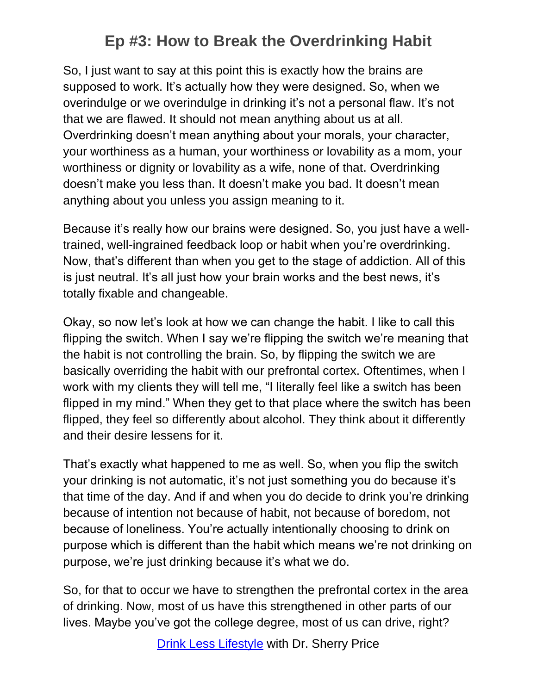So, I just want to say at this point this is exactly how the brains are supposed to work. It's actually how they were designed. So, when we overindulge or we overindulge in drinking it's not a personal flaw. It's not that we are flawed. It should not mean anything about us at all. Overdrinking doesn't mean anything about your morals, your character, your worthiness as a human, your worthiness or lovability as a mom, your worthiness or dignity or lovability as a wife, none of that. Overdrinking doesn't make you less than. It doesn't make you bad. It doesn't mean anything about you unless you assign meaning to it.

Because it's really how our brains were designed. So, you just have a welltrained, well-ingrained feedback loop or habit when you're overdrinking. Now, that's different than when you get to the stage of addiction. All of this is just neutral. It's all just how your brain works and the best news, it's totally fixable and changeable.

Okay, so now let's look at how we can change the habit. I like to call this flipping the switch. When I say we're flipping the switch we're meaning that the habit is not controlling the brain. So, by flipping the switch we are basically overriding the habit with our prefrontal cortex. Oftentimes, when I work with my clients they will tell me, "I literally feel like a switch has been flipped in my mind." When they get to that place where the switch has been flipped, they feel so differently about alcohol. They think about it differently and their desire lessens for it.

That's exactly what happened to me as well. So, when you flip the switch your drinking is not automatic, it's not just something you do because it's that time of the day. And if and when you do decide to drink you're drinking because of intention not because of habit, not because of boredom, not because of loneliness. You're actually intentionally choosing to drink on purpose which is different than the habit which means we're not drinking on purpose, we're just drinking because it's what we do.

So, for that to occur we have to strengthen the prefrontal cortex in the area of drinking. Now, most of us have this strengthened in other parts of our lives. Maybe you've got the college degree, most of us can drive, right?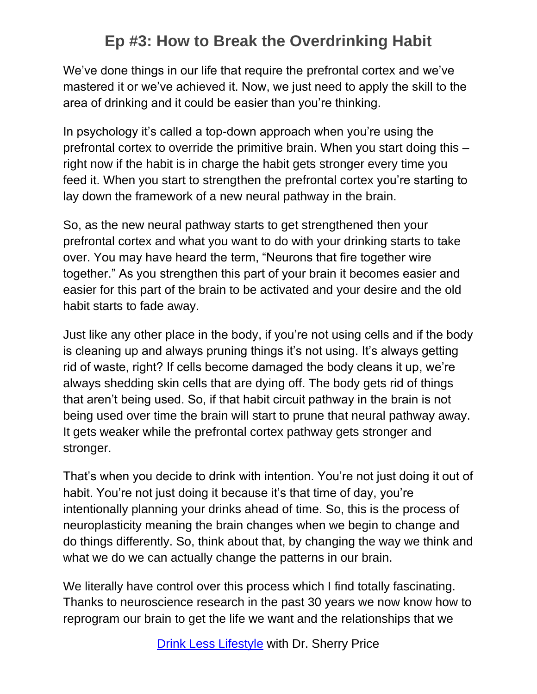We've done things in our life that require the prefrontal cortex and we've mastered it or we've achieved it. Now, we just need to apply the skill to the area of drinking and it could be easier than you're thinking.

In psychology it's called a top-down approach when you're using the prefrontal cortex to override the primitive brain. When you start doing this – right now if the habit is in charge the habit gets stronger every time you feed it. When you start to strengthen the prefrontal cortex you're starting to lay down the framework of a new neural pathway in the brain.

So, as the new neural pathway starts to get strengthened then your prefrontal cortex and what you want to do with your drinking starts to take over. You may have heard the term, "Neurons that fire together wire together." As you strengthen this part of your brain it becomes easier and easier for this part of the brain to be activated and your desire and the old habit starts to fade away.

Just like any other place in the body, if you're not using cells and if the body is cleaning up and always pruning things it's not using. It's always getting rid of waste, right? If cells become damaged the body cleans it up, we're always shedding skin cells that are dying off. The body gets rid of things that aren't being used. So, if that habit circuit pathway in the brain is not being used over time the brain will start to prune that neural pathway away. It gets weaker while the prefrontal cortex pathway gets stronger and stronger.

That's when you decide to drink with intention. You're not just doing it out of habit. You're not just doing it because it's that time of day, you're intentionally planning your drinks ahead of time. So, this is the process of neuroplasticity meaning the brain changes when we begin to change and do things differently. So, think about that, by changing the way we think and what we do we can actually change the patterns in our brain.

We literally have control over this process which I find totally fascinating. Thanks to neuroscience research in the past 30 years we now know how to reprogram our brain to get the life we want and the relationships that we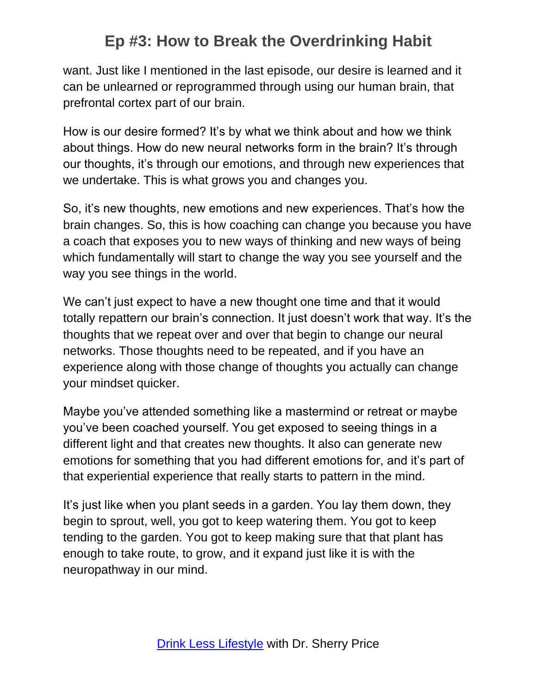want. Just like I mentioned in the last episode, our desire is learned and it can be unlearned or reprogrammed through using our human brain, that prefrontal cortex part of our brain.

How is our desire formed? It's by what we think about and how we think about things. How do new neural networks form in the brain? It's through our thoughts, it's through our emotions, and through new experiences that we undertake. This is what grows you and changes you.

So, it's new thoughts, new emotions and new experiences. That's how the brain changes. So, this is how coaching can change you because you have a coach that exposes you to new ways of thinking and new ways of being which fundamentally will start to change the way you see yourself and the way you see things in the world.

We can't just expect to have a new thought one time and that it would totally repattern our brain's connection. It just doesn't work that way. It's the thoughts that we repeat over and over that begin to change our neural networks. Those thoughts need to be repeated, and if you have an experience along with those change of thoughts you actually can change your mindset quicker.

Maybe you've attended something like a mastermind or retreat or maybe you've been coached yourself. You get exposed to seeing things in a different light and that creates new thoughts. It also can generate new emotions for something that you had different emotions for, and it's part of that experiential experience that really starts to pattern in the mind.

It's just like when you plant seeds in a garden. You lay them down, they begin to sprout, well, you got to keep watering them. You got to keep tending to the garden. You got to keep making sure that that plant has enough to take route, to grow, and it expand just like it is with the neuropathway in our mind.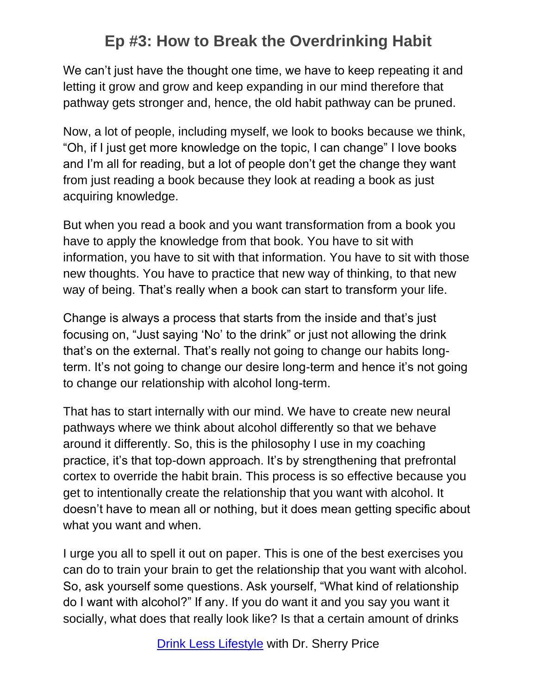We can't just have the thought one time, we have to keep repeating it and letting it grow and grow and keep expanding in our mind therefore that pathway gets stronger and, hence, the old habit pathway can be pruned.

Now, a lot of people, including myself, we look to books because we think, "Oh, if I just get more knowledge on the topic, I can change" I love books and I'm all for reading, but a lot of people don't get the change they want from just reading a book because they look at reading a book as just acquiring knowledge.

But when you read a book and you want transformation from a book you have to apply the knowledge from that book. You have to sit with information, you have to sit with that information. You have to sit with those new thoughts. You have to practice that new way of thinking, to that new way of being. That's really when a book can start to transform your life.

Change is always a process that starts from the inside and that's just focusing on, "Just saying 'No' to the drink" or just not allowing the drink that's on the external. That's really not going to change our habits longterm. It's not going to change our desire long-term and hence it's not going to change our relationship with alcohol long-term.

That has to start internally with our mind. We have to create new neural pathways where we think about alcohol differently so that we behave around it differently. So, this is the philosophy I use in my coaching practice, it's that top-down approach. It's by strengthening that prefrontal cortex to override the habit brain. This process is so effective because you get to intentionally create the relationship that you want with alcohol. It doesn't have to mean all or nothing, but it does mean getting specific about what you want and when.

I urge you all to spell it out on paper. This is one of the best exercises you can do to train your brain to get the relationship that you want with alcohol. So, ask yourself some questions. Ask yourself, "What kind of relationship do I want with alcohol?" If any. If you do want it and you say you want it socially, what does that really look like? Is that a certain amount of drinks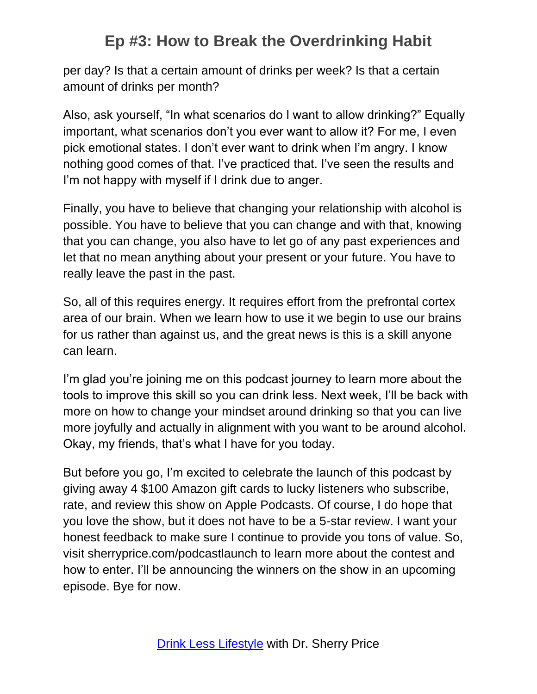per day? Is that a certain amount of drinks per week? Is that a certain amount of drinks per month?

Also, ask yourself, "In what scenarios do I want to allow drinking?" Equally important, what scenarios don't you ever want to allow it? For me, I even pick emotional states. I don't ever want to drink when I'm angry. I know nothing good comes of that. I've practiced that. I've seen the results and I'm not happy with myself if I drink due to anger.

Finally, you have to believe that changing your relationship with alcohol is possible. You have to believe that you can change and with that, knowing that you can change, you also have to let go of any past experiences and let that no mean anything about your present or your future. You have to really leave the past in the past.

So, all of this requires energy. It requires effort from the prefrontal cortex area of our brain. When we learn how to use it we begin to use our brains for us rather than against us, and the great news is this is a skill anyone can learn.

I'm glad you're joining me on this podcast journey to learn more about the tools to improve this skill so you can drink less. Next week, I'll be back with more on how to change your mindset around drinking so that you can live more joyfully and actually in alignment with you want to be around alcohol. Okay, my friends, that's what I have for you today.

But before you go, I'm excited to celebrate the launch of this podcast by giving away 4 \$100 Amazon gift cards to lucky listeners who subscribe, rate, and review this show on Apple Podcasts. Of course, I do hope that you love the show, but it does not have to be a 5-star review. I want your honest feedback to make sure I continue to provide you tons of value. So, visit sherryprice.com/podcastlaunch to learn more about the contest and how to enter. I'll be announcing the winners on the show in an upcoming episode. Bye for now.